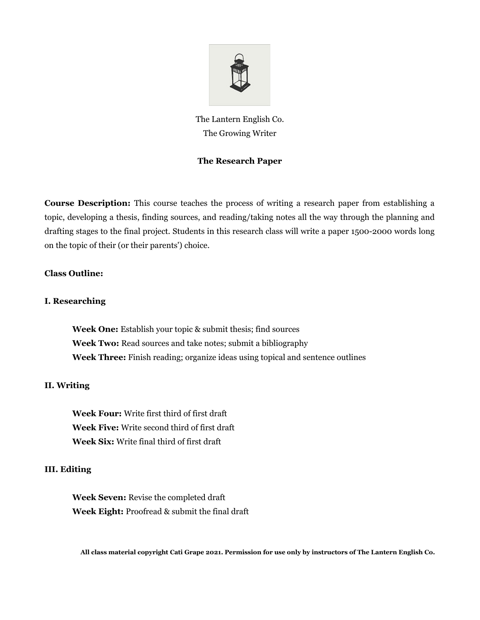

The Lantern English Co. The Growing Writer

# **The Research Paper**

**Course Description:** This course teaches the process of writing a research paper from establishing a topic, developing a thesis, finding sources, and reading/taking notes all the way through the planning and drafting stages to the final project. Students in this research class will write a paper 1500-2000 words long on the topic of their (or their parents') choice.

### **Class Outline:**

#### **I. Researching**

**Week One:** Establish your topic & submit thesis; find sources **Week Two:** Read sources and take notes; submit a bibliography **Week Three:** Finish reading; organize ideas using topical and sentence outlines

#### **II. Writing**

**Week Four:** Write first third of first draft **Week Five:** Write second third of first draft **Week Six:** Write final third of first draft

### **III. Editing**

**Week Seven:** Revise the completed draft **Week Eight:** Proofread & submit the final draft

**All class material copyright Cati Grape 2021. Permission for use only by instructors of The Lantern English Co.**